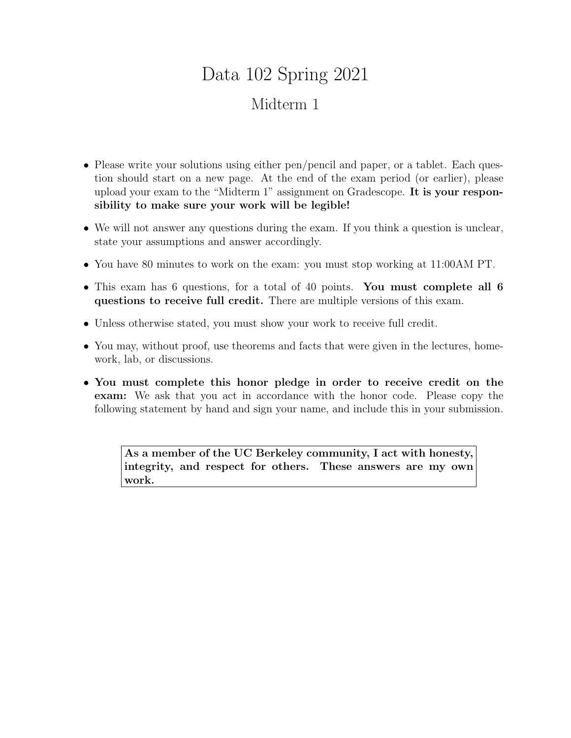## Data 102 Spring 2021 Midterm 1

- Please write your solutions using either pen/pencil and paper, or a tablet. Each question should start on a new page. At the end of the exam period (or earlier), please upload your exam to the "Midterm 1" assignment on Gradescope. It is your responsibility to make sure your work will be legible!
- We will not answer any questions during the exam. If you think a question is unclear, state your assumptions and answer accordingly.
- You have 80 minutes to work on the exam: you must stop working at 11:00AM PT.
- This exam has 6 questions, for a total of 40 points. You must complete all 6 questions to receive full credit. There are multiple versions of this exam.
- Unless otherwise stated, you must show your work to receive full credit.
- You may, without proof, use theorems and facts that were given in the lectures, homework, lab, or discussions.
- You must complete this honor pledge in order to receive credit on the exam: We ask that you act in accordance with the honor code. Please copy the following statement by hand and sign your name, and include this in your submission.

As a member of the UC Berkeley community, I act with honesty, integrity, and respect for others. These answers are my own work.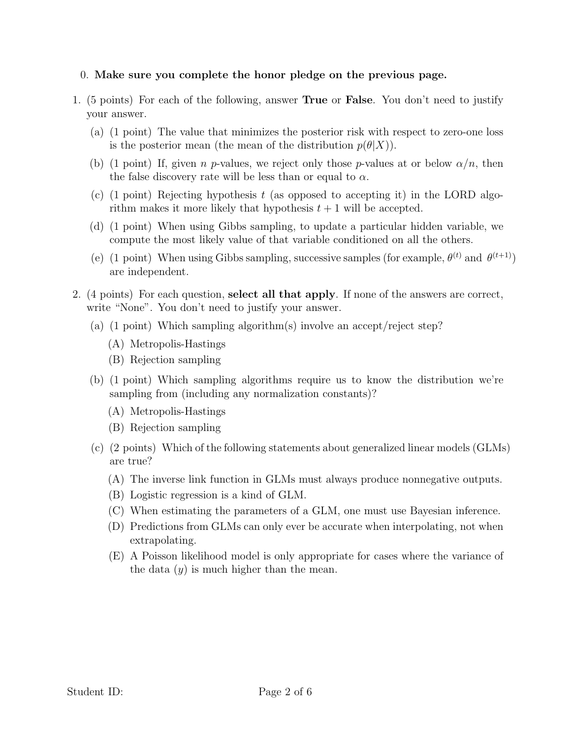## 0. Make sure you complete the honor pledge on the previous page.

- 1. (5 points) For each of the following, answer True or False. You don't need to justify your answer.
	- (a) (1 point) The value that minimizes the posterior risk with respect to zero-one loss is the posterior mean (the mean of the distribution  $p(\theta|X)$ ).
	- (b) (1 point) If, given n p-values, we reject only those p-values at or below  $\alpha/n$ , then the false discovery rate will be less than or equal to  $\alpha$ .
	- (c) (1 point) Rejecting hypothesis  $t$  (as opposed to accepting it) in the LORD algorithm makes it more likely that hypothesis  $t + 1$  will be accepted.
	- (d) (1 point) When using Gibbs sampling, to update a particular hidden variable, we compute the most likely value of that variable conditioned on all the others.
	- (e) (1 point) When using Gibbs sampling, successive samples (for example,  $\theta^{(t)}$  and  $\theta^{(t+1)}$ ) are independent.
- 2. (4 points) For each question, select all that apply. If none of the answers are correct, write "None". You don't need to justify your answer.
	- (a) (1 point) Which sampling algorithm(s) involve an accept/reject step?
		- (A) Metropolis-Hastings
		- (B) Rejection sampling
	- (b) (1 point) Which sampling algorithms require us to know the distribution we're sampling from (including any normalization constants)?
		- (A) Metropolis-Hastings
		- (B) Rejection sampling
	- (c) (2 points) Which of the following statements about generalized linear models (GLMs) are true?
		- (A) The inverse link function in GLMs must always produce nonnegative outputs.
		- (B) Logistic regression is a kind of GLM.
		- (C) When estimating the parameters of a GLM, one must use Bayesian inference.
		- (D) Predictions from GLMs can only ever be accurate when interpolating, not when extrapolating.
		- (E) A Poisson likelihood model is only appropriate for cases where the variance of the data  $(y)$  is much higher than the mean.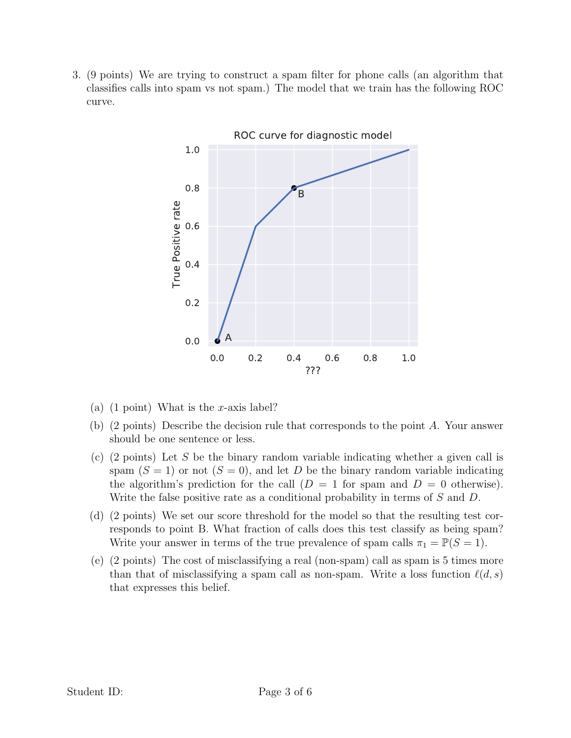3. (9 points) We are trying to construct a spam filter for phone calls (an algorithm that classifies calls into spam vs not spam.) The model that we train has the following ROC curve.



- (a) (1 point) What is the x-axis label?
- (b) (2 points) Describe the decision rule that corresponds to the point A. Your answer should be one sentence or less.
- (c) (2 points) Let S be the binary random variable indicating whether a given call is spam  $(S = 1)$  or not  $(S = 0)$ , and let D be the binary random variable indicating the algorithm's prediction for the call  $(D = 1$  for spam and  $D = 0$  otherwise). Write the false positive rate as a conditional probability in terms of S and D.
- (d) (2 points) We set our score threshold for the model so that the resulting test corresponds to point B. What fraction of calls does this test classify as being spam? Write your answer in terms of the true prevalence of spam calls  $\pi_1 = \mathbb{P}(S = 1)$ .
- (e) (2 points) The cost of misclassifying a real (non-spam) call as spam is 5 times more than that of misclassifying a spam call as non-spam. Write a loss function  $\ell(d, s)$ that expresses this belief.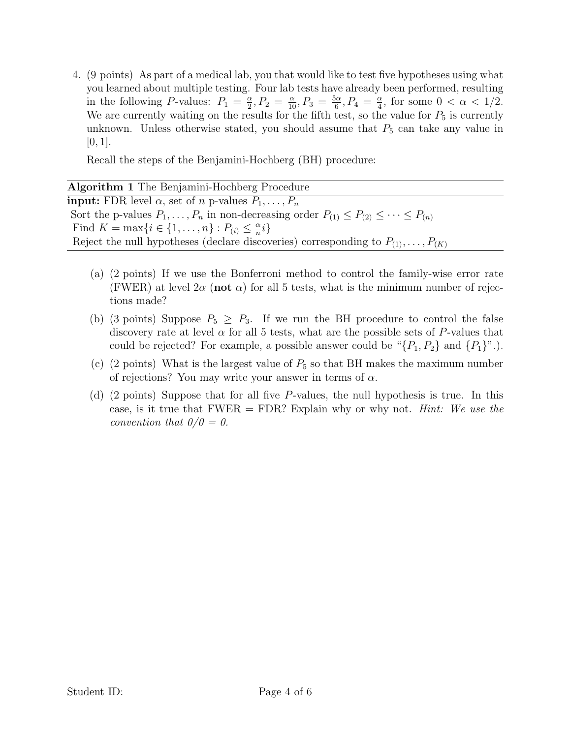4. (9 points) As part of a medical lab, you that would like to test five hypotheses using what you learned about multiple testing. Four lab tests have already been performed, resulting in the following P-values:  $P_1 = \frac{\alpha}{2}$  $\frac{\alpha}{2}, P_2 = \frac{\alpha}{10}, P_3 = \frac{5\alpha}{6}$  $\frac{6\alpha}{6}, P_4 = \frac{\alpha}{4}$  $\frac{\alpha}{4}$ , for some  $0 < \alpha < 1/2$ . We are currently waiting on the results for the fifth test, so the value for  $P_5$  is currently unknown. Unless otherwise stated, you should assume that  $P_5$  can take any value in  $[0, 1].$ 

Recall the steps of the Benjamini-Hochberg (BH) procedure:

| Algorithm 1 The Benjamini-Hochberg Procedure                                                                 |
|--------------------------------------------------------------------------------------------------------------|
| <b>input:</b> FDR level $\alpha$ , set of <i>n</i> p-values $P_1, \ldots, P_n$                               |
| Sort the p-values $P_1, \ldots, P_n$ in non-decreasing order $P_{(1)} \leq P_{(2)} \leq \cdots \leq P_{(n)}$ |
| Find $K = \max\{i \in \{1, , n\} : P_{(i)} \leq \frac{\alpha}{n}i\}$                                         |
| Reject the null hypotheses (declare discoveries) corresponding to $P_{(1)}, \ldots, P_{(K)}$                 |

- (a) (2 points) If we use the Bonferroni method to control the family-wise error rate (FWER) at level  $2\alpha$  (not  $\alpha$ ) for all 5 tests, what is the minimum number of rejections made?
- (b) (3 points) Suppose  $P_5 \geq P_3$ . If we run the BH procedure to control the false discovery rate at level  $\alpha$  for all 5 tests, what are the possible sets of P-values that could be rejected? For example, a possible answer could be " $\{P_1, P_2\}$  and  $\{P_1\}$ ".).
- (c) (2 points) What is the largest value of  $P_5$  so that BH makes the maximum number of rejections? You may write your answer in terms of  $\alpha$ .
- (d) (2 points) Suppose that for all five P-values, the null hypothesis is true. In this case, is it true that  $FWER = FDR$ ? Explain why or why not. *Hint: We use the* convention that  $0/0 = 0$ .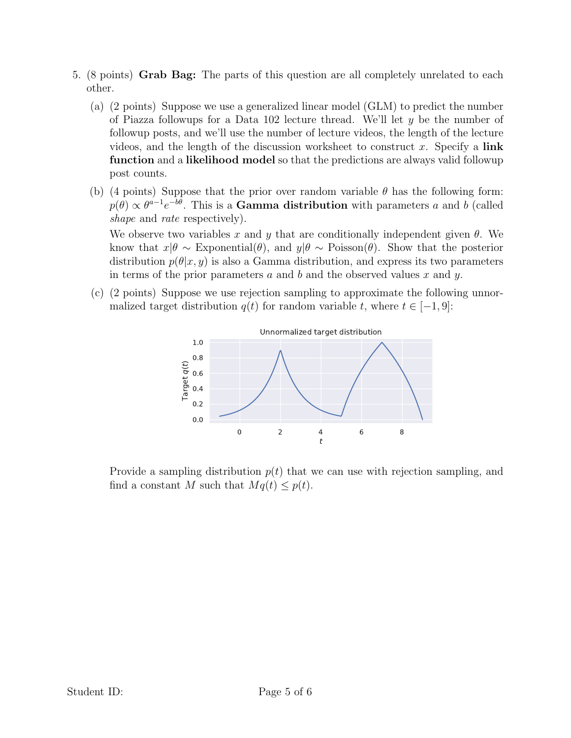- 5. (8 points) Grab Bag: The parts of this question are all completely unrelated to each other.
	- (a) (2 points) Suppose we use a generalized linear model (GLM) to predict the number of Piazza followups for a Data 102 lecture thread. We'll let  $y$  be the number of followup posts, and we'll use the number of lecture videos, the length of the lecture videos, and the length of the discussion worksheet to construct x. Specify a link function and a likelihood model so that the predictions are always valid followup post counts.
	- (b) (4 points) Suppose that the prior over random variable  $\theta$  has the following form:  $p(\theta) \propto \theta^{a-1} e^{-b\theta}$ . This is a Gamma distribution with parameters a and b (called shape and rate respectively).

We observe two variables x and y that are conditionally independent given  $\theta$ . We know that  $x|\theta \sim \text{Exponential}(\theta)$ , and  $y|\theta \sim \text{Poisson}(\theta)$ . Show that the posterior distribution  $p(\theta|x, y)$  is also a Gamma distribution, and express its two parameters in terms of the prior parameters a and b and the observed values x and y.

(c) (2 points) Suppose we use rejection sampling to approximate the following unnormalized target distribution  $q(t)$  for random variable t, where  $t \in [-1, 9]$ :



Provide a sampling distribution  $p(t)$  that we can use with rejection sampling, and find a constant M such that  $Mq(t) \leq p(t)$ .